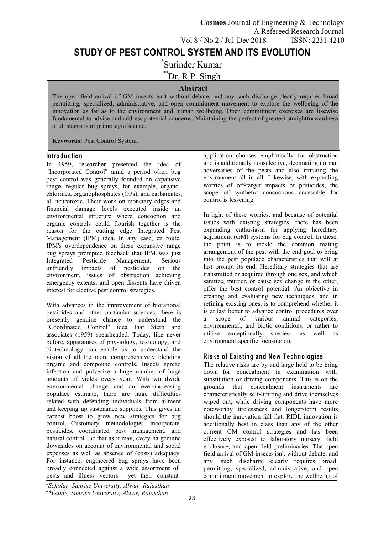# **STUDY OF PEST CONTROL SYSTEM AND ITS EVOLUTION**

\*Surinder Kumar

\*\*Dr. R.P. Singh

## **Abstract**

The open field arrival of GM insects isn't without debate, and any such discharge clearly requires broad permitting, specialized, administrative, and open commitment movement to explore the wellbeing of the innovation as far as to the environment and human wellbeing. Open commitment exercises are likewise fundamental to advise and address potential concerns. Maintaining the perfect of greatest straightforwardness at all stages is of prime significance.

**Keywords:** Pest Control System.

#### **In tro d u c tio n**

In 1959, researcher presented the idea of "Incorporated Control" amid a period when bug pest control was generally founded on expansive range, regular bug sprays, for example, organo chlorines, organophosphates (OPs), and carbamates, all neurotoxic. Their work on monetary edges and financial damage levels executed inside an environmental structure where concoction and organic controls could flourish together is the reason for the cutting edge Integrated Pest Management (IPM) idea. In any case, en route, IPM's overdependence on these expansive range bug sprays prompted feedback that IPM was just Integrated Pesticide Management. Serious impacts of pesticides on the environment, issues of obstruction achieving emergency extents, and open dissents have driven interest for elective pest control strategies.

With advances in the improvement of biorational pesticides and other particular sciences, there is is at last be<br>presently genuine chance to understand the a scope presently genuine chance to understand the "Coordinated Control" idea that Stern and associates (1959) spearheaded. Today, like never before, apparatuses of physiology, toxicology, and biotechnology can enable us to understand the vision of all the more comprehensively blending organic and compound controls. Insects spread infection and pulverize a huge number of huge amounts of yields every year. With worldwide environmental change and an ever-increasing populace estimate, there are huge difficulties related with defending individuals from ailment and keeping up sustenance supplies. This gives an earnest boost to grow new strategies for bug control. Customary methodologies incorporate pesticides, coordinated pest management, and natural control. Be that as it may, every ha genuine downsides on account of environmental and social<br>expenses as well as absence of (cost-) adequacy. For instance, engineered bug sprays have been broadly connected against a wide assortment of pests and illness vectors – yet their constant

application chooses emphatically for obstruction and is additionally nonselective, decimating normal adversaries of the pests and also irritating the environment all in all. Likewise, with expanding worries of off-target impacts of pesticides, the scope of synthetic concoctions accessible for control is lessening.

In light of these worries, and because of potential issues with existing strategies, there has been expanding enthusiasm for applying hereditary adjustment (GM) systems for bug control. In these, the point is to tackle the common mating arrangement of the pest with the end goal to bring into the pest populace characteristics that will at last prompt its end. Hereditary strategies that are transmitted or acquired through one sex, and which sanitize, murder, or cause sex change in the other, offer the best control potential. An objective in creating and evaluating new techniques, and in refining existing ones, is to comprehend whether it is at last better to advance control procedures over of various animal categories, environmental, and biotic conditions, or rather to utilize exceptionally species‐ as well as environment‐specific focusing on.

## **R is k s o f E x is tin g an d N ew T e ch no lo g ie s**

The relative risks are by and large held to be bring down for concealment in examination with substitution or driving components. This is on the grounds that concealment instruments are characteristically self‐limiting and drive themselves wiped out, while driving components have more noteworthy tirelessness and longer‐term results should the innovation fall flat. RIDL innovation is additionally best in class than any of the other current GM control strategies and has been effectively exposed to laboratory nursery, field enclosure, and open field preliminaries. The open field arrival of GM insects isn't without debate, and any such discharge clearly requires broad permitting, specialized, administrative, and open commitment movement to explore the wellbeing of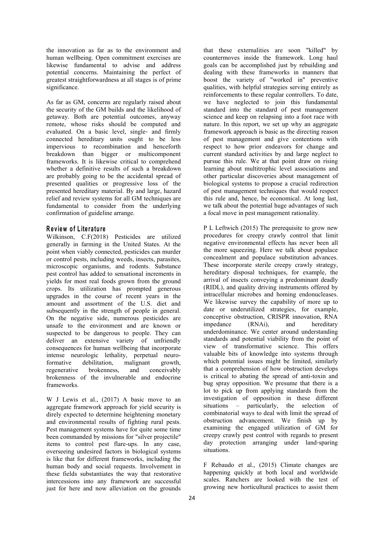the innovation as far as to the environment and human wellbeing. Open commitment exercises are likewise fundamental to advise and address potential concerns. Maintaining the perfect of greatest straightforwardness at all stages is of prime significance.

As far as GM, concerns are regularly raised about the security of the GM builds and the likelihood of getaway. Both are potential outcomes, anyway remote, whose risks should be computed and evaluated. On a basic level, single‐ and firmly connected hereditary units ought to be less impervious to recombination and henceforth breakdown than bigger or multicomponent frameworks. It is likewise critical to comprehend whether a definitive results of such a breakdown are probably going to be the accidental spread of presented qualities or progressive loss of the presented hereditary material. By and large, hazard relief and review systems for all GM techniques are fundamental to consider from the underlying confirmation of guideline arrange.

#### **R e v iew o f L ite ra tu re**

Wilkinson, C.F(2018) Pesticides are utilized generally in farming in the United States. At the point when viably connected, pesticides can murder or control pests, including weeds, insects, parasites, microscopic organisms, and rodents. Substance pest control has added to sensational increments in yields for most real foods grown from the ground crops. Its utilization has prompted generous upgrades in the course of recent years in the amount and assortment of the U.S. diet and subsequently in the strength of people in general. On the negative side, numerous pesticides are unsafe to the environment and are known or suspected to be dangerous to people. They can deliver an extensive variety of unfriendly consequences for human wellbeing that incorporate intense neurologic lethality, perpetual neuroformative debilitation, malignant growth, regenerative brokenness, and conceivably brokenness of the invulnerable and endocrine frameworks.

W J Lewis et al., (2017) A basic move to an aggregate framework approach for yield security is direly expected to determine heightening monetary and environmental results of fighting rural pests. Pest management systems have for quite some time been commanded by missions for "silver projectile" items to control pest flare-ups. In any case, overseeing undesired factors in biological systems is like that for different frameworks, including the human body and social requests. Involvement in these fields substantiates the way that restorative intercessions into any framework are successful just for here and now alleviation on the grounds

that these externalities are soon "killed" by countermoves inside the framework. Long haul goals can be accomplished just by rebuilding and dealing with these frameworks in manners that boost the variety of "worked in" preventive qualities, with helpful strategies serving entirely as reinforcements to these regular controllers. To date, we have neglected to join this fundamental standard into the standard of pest management science and keep on relapsing into a foot race with nature. In this report, we set up why an aggregate framework approach is basic as the directing reason of pest management and give contentions with respect to how prior endeavors for change and current standard activities by and large neglect to pursue this rule. We at that point draw on rising learning about multitrophic level associations and other particular discoveries about management of biological systems to propose a crucial redirection of pest management techniques that would respect this rule and, hence, be economical. At long last, we talk about the potential huge advantages of such a focal move in pest management rationality.

P L Leftwich (2015) The prerequisite to grow new procedures for creepy crawly control that limit negative environmental effects has never been all the more squeezing. Here we talk about populace concealment and populace substitution advances. These incorporate sterile creepy crawly strategy, hereditary disposal techniques, for example, the arrival of insects conveying a predominant deadly (RIDL), and quality driving instruments offered by intracellular microbes and homing endonucleases. We likewise survey the capability of more up to date or underutilized strategies, for example, conceptive obstruction, CRISPR innovation, RNA impedance (RNAi), and hereditary underdominance. We center around understanding standards and potential viability from the point of view of transformative science. This offers valuable bits of knowledge into systems through which potential issues might be limited, similarly that a comprehension of how obstruction develops is critical to abating the spread of anti-toxin and bug spray opposition. We presume that there is a lot to pick up from applying standards from the investigation of opposition in these different situations – particularly, the selection of combinatorial ways to deal with limit the spread of obstruction advancement. We finish up by examining the engaged utilization of GM for creepy crawly pest control with regards to present day protection arranging under land‐sparing situations.

F Rebaudo et al., (2015) Climate changes are happening quickly at both local and worldwide scales. Ranchers are looked with the test of growing new horticultural practices to assist them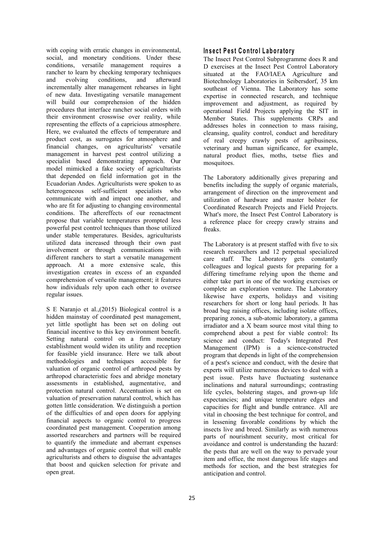with coping with erratic changes in environmental, social, and monetary conditions. Under these conditions, versatile management requires a rancher to learn by checking temporary techniques and evolving conditions, and afterward Biotechnology Laboratories in Seibersdorf, 35 km incrementally alter management rehearses in light of new data. Investigating versatile management will build our comprehension of the hidden procedures that interface rancher social orders with their environment crosswise over reality, while representing the effects of a capricious atmosphere. Here, we evaluated the effects of temperature and product cost, as surrogates for atmosphere and financial changes, on agriculturists' versatile management in harvest pest control utilizing a specialist based demonstrating approach. Our model mimicked a fake society of agriculturists that depended on field information got in the Ecuadorian Andes. Agriculturists were spoken to as heterogeneous self-sufficient specialists who communicate with and impact one another, and who are fit for adjusting to changing environmental conditions. The aftereffects of our reenactment propose that variable temperatures prompted less powerful pest control techniques than those utilized under stable temperatures. Besides, agriculturists utilized data increased through their own past involvement or through communications with different ranchers to start a versatile management approach. At a more extensive scale, this investigation creates in excess of an expanded comprehension of versatile management; it features how individuals rely upon each other to oversee regular issues.

S E Naranjo et al.,(2015) Biological control is a hidden mainstay of coordinated pest management, yet little spotlight has been set on doling out financial incentive to this key environment benefit. Setting natural control on a firm monetary establishment would widen its utility and reception for feasible yield insurance. Here we talk about methodologies and techniques accessible for valuation of organic control of arthropod pests by arthropod characteristic foes and abridge monetary assessments in established, augmentative, and protection natural control. Accentuation is set on valuation of preservation natural control, which has gotten little consideration. We distinguish a portion of the difficulties of and open doors for applying financial aspects to organic control to progress coordinated pest management. Cooperation among assorted researchers and partners will be required to quantify the immediate and aberrant expenses and advantages of organic control that will enable agriculturists and others to disguise the advantages that boost and quicken selection for private and open great.

#### **In s e c t P e s t C o n tro l L ab o ra to ry**

The Insect Pest Control Subprogramme does R and D exercises at the Insect Pest Control Laboratory situated at the FAO/IAEA Agriculture and southeast of Vienna. The Laboratory has some expertise in connected research, and technique improvement and adjustment, as required by operational Field Projects applying the SIT in Member States. This supplements CRPs and addresses holes in connection to mass raising, cleansing, quality control, conduct and hereditary of real creepy crawly pests of agribusiness, veterinary and human significance, for example, natural product flies, moths, tsetse flies and mosquitoes.

The Laboratory additionally gives preparing and benefits including the supply of organic materials, arrangement of direction on the improvement and utilization of hardware and master bolster for Coordinated Research Projects and Field Projects. What's more, the Insect Pest Control Laboratory is a reference place for creepy crawly strains and freaks.

The Laboratory is at present staffed with five to six research researchers and 12 perpetual specialized care staff. The Laboratory gets constantly colleagues and logical guests for preparing for a differing timeframe relying upon the theme and either take part in one of the working exercises or complete an exploration venture. The Laboratory likewise have experts, holidays and visiting researchers for short or long haul periods. It has broad bug raising offices, including isolate offices, preparing zones, a sub-atomic laboratory, a gamma irradiator and a X beam source most vital thing to comprehend about a pest for viable control: Its science and conduct: Today's Integrated Pest Management (IPM) is a science-constructed program that depends in light of the comprehension of a pest's science and conduct, with the desire that experts will utilize numerous devices to deal with a pest issue. Pests have fluctuating sustenance inclinations and natural surroundings; contrasting life cycles, bolstering stages, and grown-up life expectancies; and unique temperature edges and capacities for flight and bundle entrance. All are vital in choosing the best technique for control, and in lessening favorable conditions by which the insects live and breed. Similarly as with numerous parts of nourishment security, most critical for avoidance and control is understanding the hazard: the pests that are well on the way to pervade your item and office, the most dangerous life stages and methods for section, and the best strategies for anticipation and control.